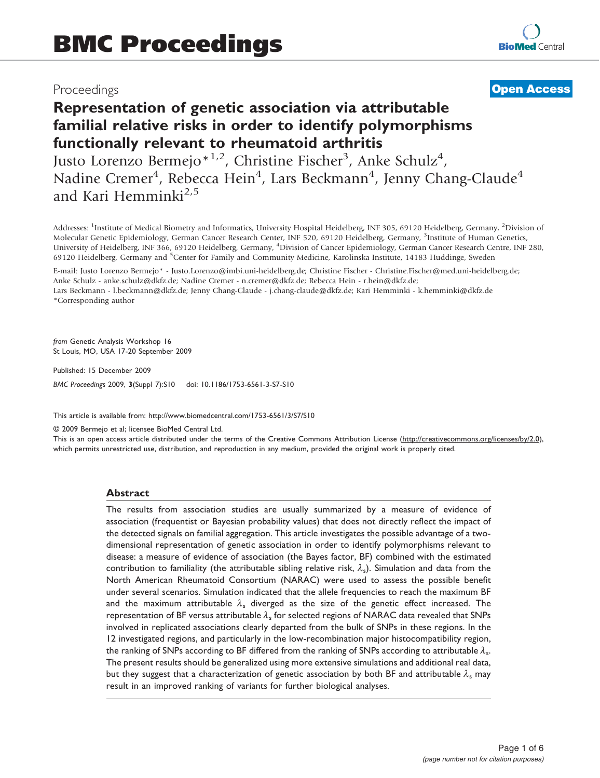# Proceedings

# **[Open Access](http://www.biomedcentral.com/info/about/charter/)**

# Representation of genetic association via attributable familial relative risks in order to identify polymorphisms functionally relevant to rheumatoid arthritis

Justo Lorenzo Bermejo<sup>\*1,2</sup>, Christine Fischer<sup>3</sup>, Anke Schulz<sup>4</sup>, Nadine Cremer<sup>4</sup>, Rebecca Hein<sup>4</sup>, Lars Beckmann<sup>4</sup>, Jenny Chang-Claude<sup>4</sup> and Kari Hemminki $^{2,5}$ 

Addresses: <sup>1</sup>Institute of Medical Biometry and Informatics, University Hospital Heidelberg, INF 305, 69120 Heidelberg, Germany, <sup>2</sup>Division of Molecular Genetic Epidemiology, German Cancer Research Center, INF 520, 69120 Heidelberg, Germany, <sup>3</sup>Institute of Human Genetics, University of Heidelberg, INF 366, 69120 Heidelberg, Germany, <sup>4</sup> Division of Cancer Epidemiology, German Cancer Research Centre, INF 280, 69120 Heidelberg, Germany and <sup>5</sup>Center for Family and Community Medicine, Karolinska Institute, 14183 Huddinge, Sweden

E-mail: Justo Lorenzo Bermejo\* - [Justo.Lorenzo@imbi.uni-heidelberg.de](mailto:Justo.Lorenzo@imbi.uni-heidelberg.de); Christine Fischer - [Christine.Fischer@med.uni-heidelberg.de;](mailto:Christine.Fischer@med.uni-heidelberg.de) Anke Schulz - [anke.schulz@dkfz.de](mailto:anke.schulz@dkfz.de); Nadine Cremer - [n.cremer@dkfz.de;](mailto:n.cremer@dkfz.de) Rebecca Hein - [r.hein@dkfz.de;](mailto:r.hein@dkfz.de) Lars Beckmann - [l.beckmann@dkfz.de](mailto:l.beckmann@dkfz.de); Jenny Chang-Claude - [j.chang-claude@dkfz.de;](mailto:j.chang-claude@dkfz.de) Kari Hemminki - [k.hemminki@dkfz.de](mailto:k.hemminki@dkfz.de) \*Corresponding author

from Genetic Analysis Workshop 16 St Louis, MO, USA 17-20 September 2009

Published: 15 December 2009 BMC Proceedings 2009, 3(Suppl 7):S10 doi: 10.1186/1753-6561-3-S7-S10

This article is available from: http://www.biomedcentral.com/1753-6561/3/S7/S10

© 2009 Bermejo et al; licensee BioMed Central Ltd.

This is an open access article distributed under the terms of the Creative Commons Attribution License [\(http://creativecommons.org/licenses/by/2.0\)](http://creativecommons.org/licenses/by/2.0), which permits unrestricted use, distribution, and reproduction in any medium, provided the original work is properly cited.

#### Abstract

The results from association studies are usually summarized by a measure of evidence of association (frequentist or Bayesian probability values) that does not directly reflect the impact of the detected signals on familial aggregation. This article investigates the possible advantage of a twodimensional representation of genetic association in order to identify polymorphisms relevant to disease: a measure of evidence of association (the Bayes factor, BF) combined with the estimated contribution to familiality (the attributable sibling relative risk,  $\lambda_s$ ). Simulation and data from the North American Rheumatoid Consortium (NARAC) were used to assess the possible benefit under several scenarios. Simulation indicated that the allele frequencies to reach the maximum BF and the maximum attributable  $\lambda_s$  diverged as the size of the genetic effect increased. The representation of BF versus attributable  $\lambda_s$  for selected regions of NARAC data revealed that SNPs involved in replicated associations clearly departed from the bulk of SNPs in these regions. In the 12 investigated regions, and particularly in the low-recombination major histocompatibility region, the ranking of SNPs according to BF differed from the ranking of SNPs according to attributable  $\lambda_{\rm s}$ . The present results should be generalized using more extensive simulations and additional real data, but they suggest that a characterization of genetic association by both BF and attributable  $\lambda_{s}$  may result in an improved ranking of variants for further biological analyses.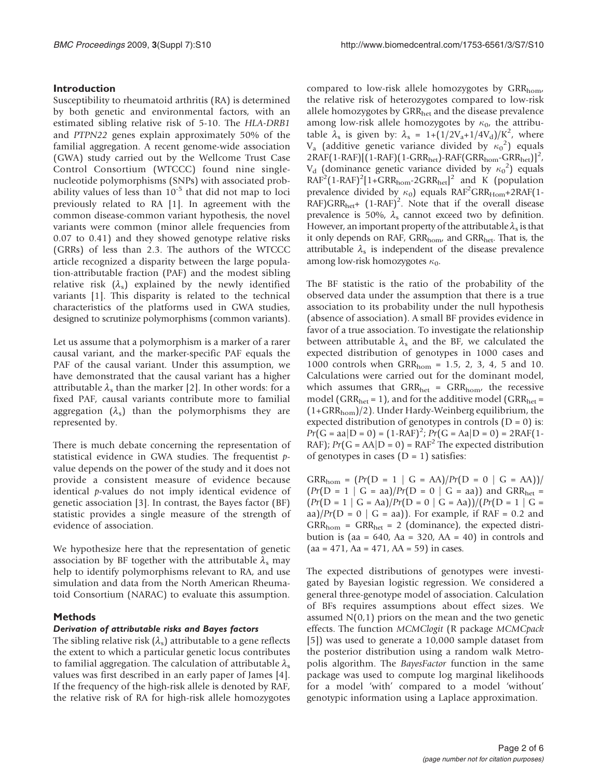# Introduction

Susceptibility to rheumatoid arthritis (RA) is determined by both genetic and environmental factors, with an estimated sibling relative risk of 5-10. The HLA-DRB1 and PTPN22 genes explain approximately 50% of the familial aggregation. A recent genome-wide association (GWA) study carried out by the Wellcome Trust Case Control Consortium (WTCCC) found nine singlenucleotide polymorphisms (SNPs) with associated probability values of less than  $10^{-5}$  that did not map to loci previously related to RA [[1](#page-5-0)]. In agreement with the common disease-common variant hypothesis, the novel variants were common (minor allele frequencies from 0.07 to 0.41) and they showed genotype relative risks (GRRs) of less than 2.3. The authors of the WTCCC article recognized a disparity between the large population-attributable fraction (PAF) and the modest sibling relative risk  $(\lambda_s)$  explained by the newly identified variants [\[1\]](#page-5-0). This disparity is related to the technical characteristics of the platforms used in GWA studies, designed to scrutinize polymorphisms (common variants).

Let us assume that a polymorphism is a marker of a rarer causal variant, and the marker-specific PAF equals the PAF of the causal variant. Under this assumption, we have demonstrated that the causal variant has a higher attributable  $\lambda_s$  than the marker [[2](#page-5-0)]. In other words: for a fixed PAF, causal variants contribute more to familial aggregation  $(\lambda_s)$  than the polymorphisms they are represented by.

There is much debate concerning the representation of statistical evidence in GWA studies. The frequentist pvalue depends on the power of the study and it does not provide a consistent measure of evidence because identical  $p$ -values do not imply identical evidence of genetic association [[3](#page-5-0)]. In contrast, the Bayes factor (BF) statistic provides a single measure of the strength of evidence of association.

We hypothesize here that the representation of genetic association by BF together with the attributable  $\lambda_s$  may help to identify polymorphisms relevant to RA, and use simulation and data from the North American Rheumatoid Consortium (NARAC) to evaluate this assumption.

# Methods

#### Derivation of attributable risks and Bayes factors

The sibling relative risk  $(\lambda_s)$  attributable to a gene reflects the extent to which a particular genetic locus contributes to familial aggregation. The calculation of attributable  $\lambda_s$ values was first described in an early paper of James [[4](#page-5-0)]. If the frequency of the high-risk allele is denoted by RAF, the relative risk of RA for high-risk allele homozygotes compared to low-risk allele homozygotes by  $\text{GRR}_{\text{hom}}$ , the relative risk of heterozygotes compared to low-risk allele homozygotes by GRR<sub>het</sub> and the disease prevalence among low-risk allele homozygotes by  $\kappa_0$ , the attributable  $\lambda_s$  is given by:  $\lambda_s = 1 + (1/2V_a + 1/4V_d)/K^2$ , where V<sub>a</sub> (additive genetic variance divided by  $\kappa_0^2$ ) equals 2RAF(1-RAF)[(1-RAF)(1-GRR<sub>het</sub>)-RAF(GRR<sub>hom</sub>-GRR<sub>het</sub>)]<sup>2</sup>,  $V_d$  (dominance genetic variance divided by  $\kappa_0^2$ ) equals  $RAF<sup>2</sup>(1-RAF)<sup>2</sup>[1+GRR<sub>hom</sub>-2GRR<sub>het</sub>]<sup>2</sup>$  and K (population prevalence divided by  $\kappa_0$ ) equals RAF<sup>2</sup>GRR<sub>Hom</sub>+2RAF(1- $RAF)GRR_{het}$ +  $(1-RAF)^2$ . Note that if the overall disease prevalence is 50%,  $\lambda_s$  cannot exceed two by definition. However, an important property of the attributable  $\lambda_s$  is that it only depends on RAF,  $\text{GRR}_{\text{hom}}$  and  $\text{GRR}_{\text{het}}$ . That is, the attributable  $\lambda_s$  is independent of the disease prevalence among low-risk homozygotes  $\kappa_0$ .

The BF statistic is the ratio of the probability of the observed data under the assumption that there is a true association to its probability under the null hypothesis (absence of association). A small BF provides evidence in favor of a true association. To investigate the relationship between attributable  $\lambda_s$  and the BF, we calculated the expected distribution of genotypes in 1000 cases and 1000 controls when  $GRR_{\text{hom}} = 1.5, 2, 3, 4, 5$  and 10. Calculations were carried out for the dominant model, which assumes that  $GRR_{het} = GRR_{hom}$ , the recessive model (GRR<sub>het</sub> = 1), and for the additive model (GRR<sub>het</sub> = (1+GRRhom)/2). Under Hardy-Weinberg equilibrium, the expected distribution of genotypes in controls  $(D = 0)$  is:  $Pr(G = aa | D = 0) = (1-RAF)^2$ ;  $Pr(G = Aa | D = 0) = 2RAF(1-RAF) \cdot Pr(C = AA | D = 0) = PAF^2$ . The expected distribution RAF);  $Pr(G = AA|D = 0) = RAF^2$  The expected distribution of genotypes in cases  $(D = 1)$  satisfies:

 $GRR_{\text{hom}} = (Pr(D = 1 | G = AA)/Pr(D = 0 | G = AA))$  $(Pr(D = 1 | G = aa)/Pr(D = 0 | G = aa))$  and GRR<sub>het</sub> =  $\frac{Pr(D = 1 | G = Aa)}{Pr(D = 0 | G = Aa)}$   $\frac{Pr(D = 1 | G = Aa)}{Pr(D = A a)}$ aa)/ $Pr(D = 0 | G = aa)$ . For example, if RAF = 0.2 and  $GRR_{\text{hom}} = GRR_{\text{het}} = 2$  (dominance), the expected distribution is (aa =  $640$ , Aa =  $320$ , AA =  $40$ ) in controls and  $(aa = 471, Aa = 471, AA = 59)$  in cases.

The expected distributions of genotypes were investigated by Bayesian logistic regression. We considered a general three-genotype model of association. Calculation of BFs requires assumptions about effect sizes. We assumed  $N(0,1)$  priors on the mean and the two genetic effects. The function MCMClogit (R package MCMCpack [[5](#page-5-0)]) was used to generate a 10,000 sample dataset from the posterior distribution using a random walk Metropolis algorithm. The BayesFactor function in the same package was used to compute log marginal likelihoods for a model 'with' compared to a model 'without' genotypic information using a Laplace approximation.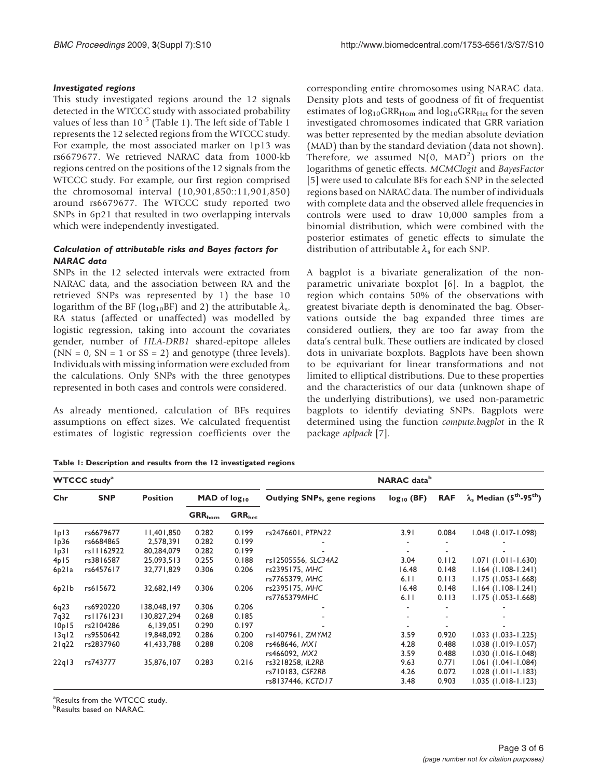### <span id="page-2-0"></span>Investigated regions

This study investigated regions around the 12 signals detected in the WTCCC study with associated probability values of less than  $10^{-5}$  (Table 1). The left side of Table 1 represents the 12 selected regions from the WTCCC study. For example, the most associated marker on 1p13 was rs6679677. We retrieved NARAC data from 1000-kb regions centred on the positions of the 12 signals from the WTCCC study. For example, our first region comprised the chromosomal interval (10,901,850::11,901,850) around rs6679677. The WTCCC study reported two SNPs in 6p21 that resulted in two overlapping intervals which were independently investigated.

# Calculation of attributable risks and Bayes factors for NARAC data

SNPs in the 12 selected intervals were extracted from NARAC data, and the association between RA and the retrieved SNPs was represented by 1) the base 10 logarithm of the BF (log<sub>10</sub>BF) and 2) the attributable  $\lambda_s$ . RA status (affected or unaffected) was modelled by logistic regression, taking into account the covariates gender, number of HLA-DRB1 shared-epitope alleles  $(NN = 0, SN = 1 \text{ or } SS = 2)$  and genotype (three levels). Individuals with missing information were excluded from the calculations. Only SNPs with the three genotypes represented in both cases and controls were considered.

As already mentioned, calculation of BFs requires assumptions on effect sizes. We calculated frequentist estimates of logistic regression coefficients over the corresponding entire chromosomes using NARAC data. Density plots and tests of goodness of fit of frequentist estimates of  $log_{10}GRR_{\text{Hom}}$  and  $log_{10}GRR_{\text{Het}}$  for the seven investigated chromosomes indicated that GRR variation was better represented by the median absolute deviation (MAD) than by the standard deviation (data not shown). Therefore, we assumed  $N(0,$  MAD<sup>2</sup>) priors on the logarithms of genetic effects. MCMClogit and BayesFactor [[5](#page-5-0)] were used to calculate BFs for each SNP in the selected regions based on NARAC data. The number of individuals with complete data and the observed allele frequencies in controls were used to draw 10,000 samples from a binomial distribution, which were combined with the posterior estimates of genetic effects to simulate the distribution of attributable  $\lambda_s$  for each SNP.

A bagplot is a bivariate generalization of the nonparametric univariate boxplot [\[6\]](#page-5-0). In a bagplot, the region which contains 50% of the observations with greatest bivariate depth is denominated the bag. Observations outside the bag expanded three times are considered outliers, they are too far away from the data's central bulk. These outliers are indicated by closed dots in univariate boxplots. Bagplots have been shown to be equivariant for linear transformations and not limited to elliptical distributions. Due to these properties and the characteristics of our data (unknown shape of the underlying distributions), we used non-parametric bagplots to identify deviating SNPs. Bagplots were determined using the function compute.bagplot in the R package aplpack [\[7\]](#page-5-0).

Table 1: Description and results from the 12 investigated regions

| <b>WTCCC study<sup>a</sup></b> |            |                 |                          |             | <b>NARAC</b> data <sup>b</sup> |                 |            |                                                               |  |
|--------------------------------|------------|-----------------|--------------------------|-------------|--------------------------------|-----------------|------------|---------------------------------------------------------------|--|
| Chr                            | <b>SNP</b> | <b>Position</b> | MAD of log <sub>10</sub> |             | Outlying SNPs, gene regions    | $log_{10}$ (BF) | <b>RAF</b> | $\lambda_{\rm s}$ Median (5 <sup>th</sup> -95 <sup>th</sup> ) |  |
|                                |            |                 | ${\sf GRR}_{\sf hom}$    | $GRR_{het}$ |                                |                 |            |                                                               |  |
| p                              | rs6679677  | 11,401,850      | 0.282                    | 0.199       | rs2476601, PTPN22              | 3.91            | 0.084      | $1.048$ (1.017-1.098)                                         |  |
| lp36                           | rs6684865  | 2,578,391       | 0.282                    | 0.199       |                                |                 |            |                                                               |  |
| p3                             | rs11162922 | 80,284,079      | 0.282                    | 0.199       |                                |                 |            |                                                               |  |
| 4p15                           | rs3816587  | 25,093,513      | 0.255                    | 0.188       | rs12505556, SLC34A2            | 3.04            | 0.112      | $1.071(1.011 - 1.630)$                                        |  |
| 6p21a                          | rs6457617  | 32,771,829      | 0.306                    | 0.206       | rs2395175, MHC                 | 16.48           | 0.148      | $1.164$ (1.108-1.241)                                         |  |
|                                |            |                 |                          |             | rs7765379, MHC                 | 6.11            | 0.113      | $1.175(1.053 - 1.668)$                                        |  |
| 6p2lb                          | rs615672   | 32,682,149      | 0.306                    | 0.206       | rs2395175, MHC                 | 16.48           | 0.148      | $1.164$ (1.108-1.241)                                         |  |
|                                |            |                 |                          |             | rs7765379MHC                   | 6.11            | 0.113      | $1.175(1.053 - 1.668)$                                        |  |
| 6q23                           | rs6920220  | 138,048,197     | 0.306                    | 0.206       |                                |                 |            |                                                               |  |
| 7 <sub>q</sub> 32              | rs11761231 | 130,827,294     | 0.268                    | 0.185       |                                |                 |            |                                                               |  |
| 10p15                          | rs2104286  | 6,139,051       | 0.290                    | 0.197       |                                |                 |            |                                                               |  |
| 13q12                          | rs9550642  | 19,848,092      | 0.286                    | 0.200       | rs1407961, ZMYM2               | 3.59            | 0.920      | $1.033(1.033 - 1.225)$                                        |  |
| $2$ lg $22$                    | rs2837960  | 41,433,788      | 0.288                    | 0.208       | rs468646, MX1                  | 4.28            | 0.488      | $1.038$ $(1.019 - 1.057)$                                     |  |
|                                |            |                 |                          |             | rs466092, MX2                  | 3.59            | 0.488      | $1.030(1.016-1.048)$                                          |  |
| 22q13                          | rs743777   | 35,876,107      | 0.283                    | 0.216       | rs3218258, IL2RB               | 9.63            | 0.771      | $1.061$ (1.041-1.084)                                         |  |
|                                |            |                 |                          |             | rs710183, CSF2RB               | 4.26            | 0.072      | $1.028$ (1.011-1.183)                                         |  |
|                                |            |                 |                          |             | rs8137446, KCTD17              | 3.48            | 0.903      | $1.035(1.018-1.123)$                                          |  |

<sup>a</sup>Results from the WTCCC study.

*b***Results based on NARAC.**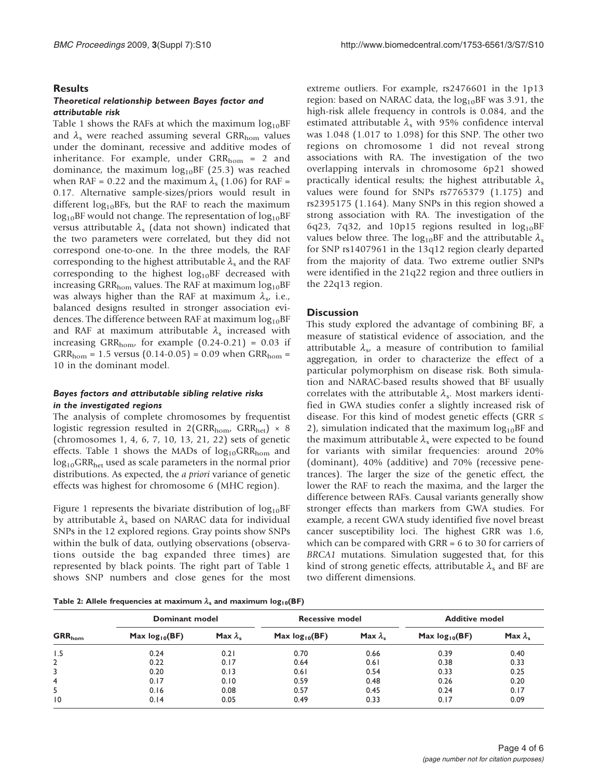#### **Results**

#### Theoretical relationship between Bayes factor and attributable risk

Table [1](#page-2-0) shows the RAFs at which the maximum  $log_{10}BF$ and  $\lambda_s$  were reached assuming several GRR<sub>hom</sub> values under the dominant, recessive and additive modes of inheritance. For example, under  $\text{GRR}_{\text{hom}} = 2$  and dominance, the maximum  $log_{10}BF(25.3)$  was reached when RAF = 0.22 and the maximum  $\lambda_s$  (1.06) for RAF = 0.17. Alternative sample-sizes/priors would result in different  $log_{10}BFs$ , but the RAF to reach the maximum  $log_{10}BF$  would not change. The representation of  $log_{10}BF$ versus attributable  $\lambda_s$  (data not shown) indicated that the two parameters were correlated, but they did not correspond one-to-one. In the three models, the RAF corresponding to the highest attributable  $\lambda_s$  and the RAF corresponding to the highest  $log_{10}BF$  decreased with increasing GRR<sub>hom</sub> values. The RAF at maximum  $log_{10}BF$ was always higher than the RAF at maximum  $\lambda_s$ , i.e., balanced designs resulted in stronger association evidences. The difference between RAF at maximum  $log_{10}BF$ and RAF at maximum attributable  $\lambda_s$  increased with increasing GRR<sub>hom</sub>, for example  $(0.24-0.21) = 0.03$  if  $GRR_{\text{hom}} = 1.5$  versus  $(0.14{\text -}0.05) = 0.09$  when  $GRR_{\text{hom}} =$ 10 in the dominant model.

#### Bayes factors and attributable sibling relative risks in the investigated regions

The analysis of complete chromosomes by frequentist logistic regression resulted in  $2(GRR_{\text{hom}}/GRR_{\text{het}}) \times 8$ (chromosomes 1, 4, 6, 7, 10, 13, 21, 22) sets of genetic effects. Table [1](#page-2-0) shows the MADs of  $log_{10}GRR_{\text{hom}}$  and log<sub>10</sub>GRR<sub>het</sub> used as scale parameters in the normal prior distributions. As expected, the a priori variance of genetic effects was highest for chromosome 6 (MHC region).

Figure [1](#page-4-0) represents the bivariate distribution of  $log_{10}BF$ by attributable  $\lambda_s$  based on NARAC data for individual SNPs in the 12 explored regions. Gray points show SNPs within the bulk of data, outlying observations (observations outside the bag expanded three times) are represented by black points. The right part of Table [1](#page-2-0) shows SNP numbers and close genes for the most

extreme outliers. For example, rs2476601 in the 1p13 region: based on NARAC data, the  $log_{10}BF$  was 3.91, the high-risk allele frequency in controls is 0.084, and the estimated attributable  $\lambda_s$  with 95% confidence interval was 1.048 (1.017 to 1.098) for this SNP. The other two regions on chromosome 1 did not reveal strong associations with RA. The investigation of the two overlapping intervals in chromosome 6p21 showed practically identical results; the highest attributable  $\lambda_s$ values were found for SNPs rs7765379 (1.175) and rs2395175 (1.164). Many SNPs in this region showed a strong association with RA. The investigation of the 6q23, 7q32, and 10p15 regions resulted in  $log_{10}BF$ values below three. The  $log_{10}BF$  and the attributable  $\lambda_s$ for SNP rs1407961 in the 13q12 region clearly departed from the majority of data. Two extreme outlier SNPs were identified in the 21q22 region and three outliers in the 22q13 region.

#### **Discussion**

This study explored the advantage of combining BF, a measure of statistical evidence of association, and the attributable  $\lambda_{s}$ , a measure of contribution to familial aggregation, in order to characterize the effect of a particular polymorphism on disease risk. Both simulation and NARAC-based results showed that BF usually correlates with the attributable  $\lambda_s$ . Most markers identified in GWA studies confer a slightly increased risk of disease. For this kind of modest genetic effects (GRR  $\leq$ 2), simulation indicated that the maximum  $log_{10}BF$  and the maximum attributable  $\lambda_s$  were expected to be found for variants with similar frequencies: around 20% (dominant), 40% (additive) and 70% (recessive penetrances). The larger the size of the genetic effect, the lower the RAF to reach the maxima, and the larger the difference between RAFs. Causal variants generally show stronger effects than markers from GWA studies. For example, a recent GWA study identified five novel breast cancer susceptibility loci. The highest GRR was 1.6, which can be compared with GRR = 6 to 30 for carriers of BRCA1 mutations. Simulation suggested that, for this kind of strong genetic effects, attributable  $\lambda_s$  and BF are two different dimensions.

Table 2: Allele frequencies at maximum  $\lambda_s$  and maximum log<sub>10</sub>(BF)

|              | Dominant model     |                   | <b>Recessive model</b> |                   | <b>Additive model</b> |                   |  |
|--------------|--------------------|-------------------|------------------------|-------------------|-----------------------|-------------------|--|
| $GRR_{hom}$  | Max $log_{10}(BF)$ | Max $\lambda_{s}$ | Max $log_{10}(BF)$     | Max $\lambda_{s}$ | Max $log_{10}(BF)$    | Max $\lambda_{s}$ |  |
| 1.5          | 0.24               | 0.21              | 0.70                   | 0.66              | 0.39                  | 0.40              |  |
| $\mathbf{2}$ | 0.22               | 0.17              | 0.64                   | 0.61              | 0.38                  | 0.33              |  |
| 3            | 0.20               | 0.13              | 0.61                   | 0.54              | 0.33                  | 0.25              |  |
| 4            | 0.17               | 0.10              | 0.59                   | 0.48              | 0.26                  | 0.20              |  |
| 5            | 0.16               | 0.08              | 0.57                   | 0.45              | 0.24                  | 0.17              |  |
| 10           | 0.14               | 0.05              | 0.49                   | 0.33              | 0.17                  | 0.09              |  |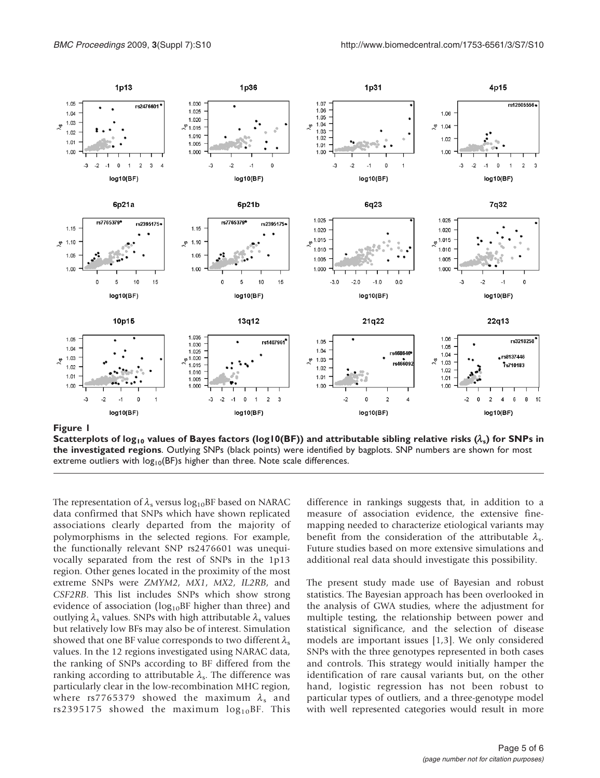<span id="page-4-0"></span>

Scatterplots of log<sub>10</sub> values of Bayes factors (log10(BF)) and attributable sibling relative risks ( $\lambda_s$ ) for SNPs in the investigated regions. Outlying SNPs (black points) were identified by bagplots. SNP numbers are shown for most extreme outliers with  $log_{10}(BF)$ s higher than three. Note scale differences.

The representation of  $\lambda_s$  versus  $\log_{10}BF$  based on NARAC data confirmed that SNPs which have shown replicated associations clearly departed from the majority of polymorphisms in the selected regions. For example, the functionally relevant SNP rs2476601 was unequivocally separated from the rest of SNPs in the 1p13 region. Other genes located in the proximity of the most extreme SNPs were ZMYM2, MX1, MX2, IL2RB, and CSF2RB. This list includes SNPs which show strong evidence of association ( $log_{10}BF$  higher than three) and outlying  $\lambda_s$  values. SNPs with high attributable  $\lambda_s$  values but relatively low BFs may also be of interest. Simulation showed that one BF value corresponds to two different  $\lambda_{\rm s}$ values. In the 12 regions investigated using NARAC data, the ranking of SNPs according to BF differed from the ranking according to attributable  $\lambda_s$ . The difference was particularly clear in the low-recombination MHC region, where rs7765379 showed the maximum  $\lambda_s$  and rs2395175 showed the maximum  $log_{10}BF$ . This

difference in rankings suggests that, in addition to a measure of association evidence, the extensive finemapping needed to characterize etiological variants may benefit from the consideration of the attributable  $\lambda_s$ . Future studies based on more extensive simulations and additional real data should investigate this possibility.

The present study made use of Bayesian and robust statistics. The Bayesian approach has been overlooked in the analysis of GWA studies, where the adjustment for multiple testing, the relationship between power and statistical significance, and the selection of disease models are important issues [\[1,3\]](#page-5-0). We only considered SNPs with the three genotypes represented in both cases and controls. This strategy would initially hamper the identification of rare causal variants but, on the other hand, logistic regression has not been robust to particular types of outliers, and a three-genotype model with well represented categories would result in more